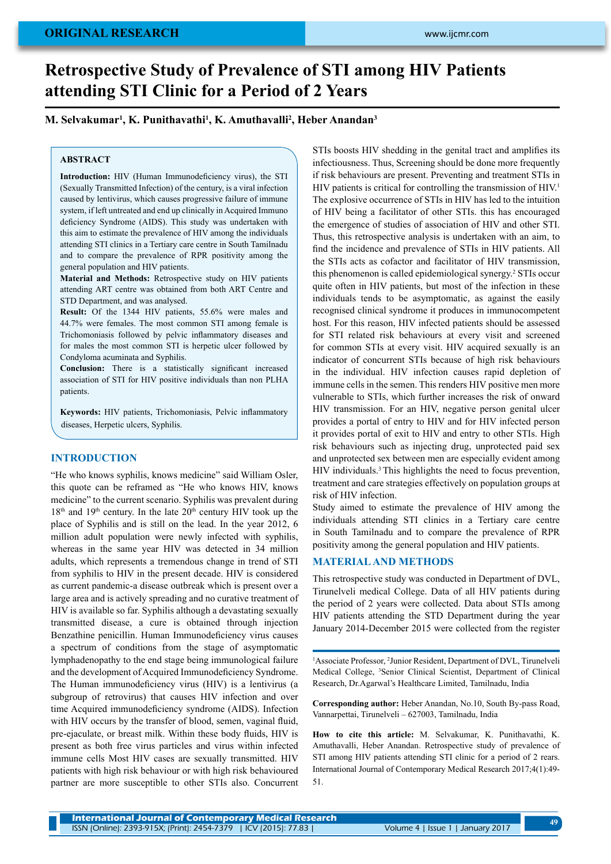# **Retrospective Study of Prevalence of STI among HIV Patients attending STI Clinic for a Period of 2 Years**

## **M. Selvakumar1 , K. Punithavathi1 , K. Amuthavalli2 , Heber Anandan3**

### **ABSTRACT**

**Introduction:** HIV (Human Immunodeficiency virus), the STI (Sexually Transmitted Infection) of the century, is a viral infection caused by lentivirus, which causes progressive failure of immune system, if left untreated and end up clinically in Acquired Immuno deficiency Syndrome (AIDS). This study was undertaken with this aim to estimate the prevalence of HIV among the individuals attending STI clinics in a Tertiary care centre in South Tamilnadu and to compare the prevalence of RPR positivity among the general population and HIV patients.

**Material and Methods:** Retrospective study on HIV patients attending ART centre was obtained from both ART Centre and STD Department, and was analysed.

**Result:** Of the 1344 HIV patients, 55.6% were males and 44.7% were females. The most common STI among female is Trichomoniasis followed by pelvic inflammatory diseases and for males the most common STI is herpetic ulcer followed by Condyloma acuminata and Syphilis.

**Conclusion:** There is a statistically significant increased association of STI for HIV positive individuals than non PLHA patients.

**Keywords:** HIV patients, Trichomoniasis, Pelvic inflammatory diseases, Herpetic ulcers, Syphilis.

## **INTRODUCTION**

"He who knows syphilis, knows medicine" said William Osler, this quote can be reframed as "He who knows HIV, knows medicine" to the current scenario. Syphilis was prevalent during  $18<sup>th</sup>$  and  $19<sup>th</sup>$  century. In the late  $20<sup>th</sup>$  century HIV took up the place of Syphilis and is still on the lead. In the year 2012, 6 million adult population were newly infected with syphilis, whereas in the same year HIV was detected in 34 million adults, which represents a tremendous change in trend of STI from syphilis to HIV in the present decade. HIV is considered as current pandemic-a disease outbreak which is present over a large area and is actively spreading and no curative treatment of HIV is available so far. Syphilis although a devastating sexually transmitted disease, a cure is obtained through injection Benzathine penicillin. Human Immunodeficiency virus causes a spectrum of conditions from the stage of asymptomatic lymphadenopathy to the end stage being immunological failure and the development of Acquired Immunodeficiency Syndrome. The Human immunodeficiency virus (HIV) is a lentivirus (a subgroup of retrovirus) that causes HIV infection and over time Acquired immunodeficiency syndrome (AIDS). Infection with HIV occurs by the transfer of blood, semen, vaginal fluid, pre-ejaculate, or breast milk. Within these body fluids, HIV is present as both free virus particles and virus within infected immune cells Most HIV cases are sexually transmitted. HIV patients with high risk behaviour or with high risk behavioured partner are more susceptible to other STIs also. Concurrent

STIs boosts HIV shedding in the genital tract and amplifies its infectiousness. Thus, Screening should be done more frequently if risk behaviours are present. Preventing and treatment STIs in HIV patients is critical for controlling the transmission of  $HIV<sub>1</sub>$ <sup>1</sup> The explosive occurrence of STIs in HIV has led to the intuition of HIV being a facilitator of other STIs. this has encouraged the emergence of studies of association of HIV and other STI. Thus, this retrospective analysis is undertaken with an aim, to find the incidence and prevalence of STIs in HIV patients. All the STIs acts as cofactor and facilitator of HIV transmission, this phenomenon is called epidemiological synergy.2 STIs occur quite often in HIV patients, but most of the infection in these individuals tends to be asymptomatic, as against the easily recognised clinical syndrome it produces in immunocompetent host. For this reason, HIV infected patients should be assessed for STI related risk behaviours at every visit and screened for common STIs at every visit. HIV acquired sexually is an indicator of concurrent STIs because of high risk behaviours in the individual. HIV infection causes rapid depletion of immune cells in the semen. This renders HIV positive men more vulnerable to STIs, which further increases the risk of onward HIV transmission. For an HIV, negative person genital ulcer provides a portal of entry to HIV and for HIV infected person it provides portal of exit to HIV and entry to other STIs. High risk behaviours such as injecting drug, unprotected paid sex and unprotected sex between men are especially evident among HIV individuals.3 This highlights the need to focus prevention, treatment and care strategies effectively on population groups at risk of HIV infection.

Study aimed to estimate the prevalence of HIV among the individuals attending STI clinics in a Tertiary care centre in South Tamilnadu and to compare the prevalence of RPR positivity among the general population and HIV patients.

## **MATERIAL AND METHODS**

This retrospective study was conducted in Department of DVL, Tirunelveli medical College. Data of all HIV patients during the period of 2 years were collected. Data about STIs among HIV patients attending the STD Department during the year January 2014-December 2015 were collected from the register

<sup>1</sup>Associate Professor, <sup>2</sup>Junior Resident, Department of DVL, Tirunelveli Medical College, 3 Senior Clinical Scientist, Department of Clinical Research, Dr.Agarwal's Healthcare Limited, Tamilnadu, India

**Corresponding author:** Heber Anandan, No.10, South By-pass Road, Vannarpettai, Tirunelveli – 627003, Tamilnadu, India

**How to cite this article:** M. Selvakumar, K. Punithavathi, K. Amuthavalli, Heber Anandan. Retrospective study of prevalence of STI among HIV patients attending STI clinic for a period of 2 rears. International Journal of Contemporary Medical Research 2017;4(1):49- 51.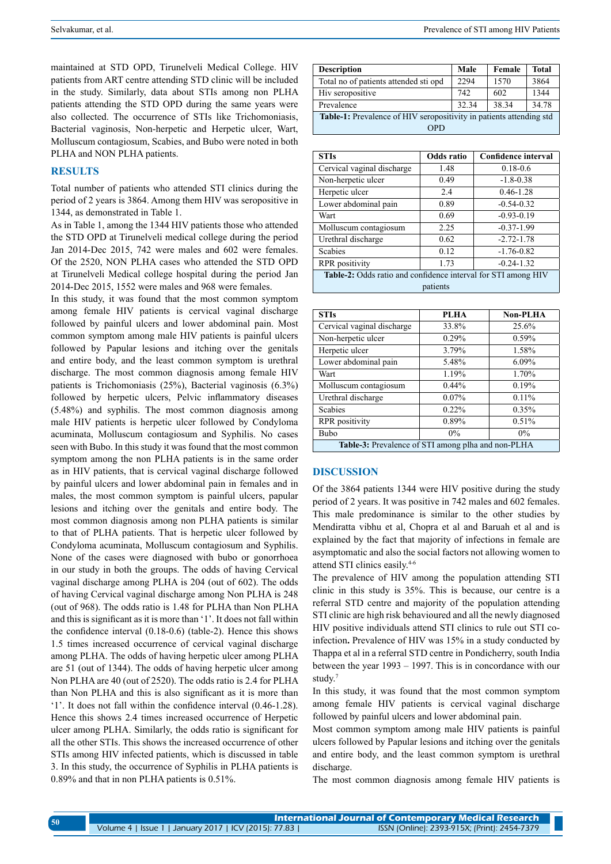maintained at STD OPD, Tirunelveli Medical College. HIV patients from ART centre attending STD clinic will be included in the study. Similarly, data about STIs among non PLHA patients attending the STD OPD during the same years were also collected. The occurrence of STIs like Trichomoniasis, Bacterial vaginosis, Non-herpetic and Herpetic ulcer, Wart, Molluscum contagiosum, Scabies, and Bubo were noted in both PLHA and NON PLHA patients.

### **RESULTS**

Total number of patients who attended STI clinics during the period of 2 years is 3864. Among them HIV was seropositive in 1344, as demonstrated in Table 1.

As in Table 1, among the 1344 HIV patients those who attended the STD OPD at Tirunelveli medical college during the period Jan 2014-Dec 2015, 742 were males and 602 were females. Of the 2520, NON PLHA cases who attended the STD OPD at Tirunelveli Medical college hospital during the period Jan 2014-Dec 2015, 1552 were males and 968 were females.

In this study, it was found that the most common symptom among female HIV patients is cervical vaginal discharge followed by painful ulcers and lower abdominal pain. Most common symptom among male HIV patients is painful ulcers followed by Papular lesions and itching over the genitals and entire body, and the least common symptom is urethral discharge. The most common diagnosis among female HIV patients is Trichomoniasis (25%), Bacterial vaginosis (6.3%) followed by herpetic ulcers, Pelvic inflammatory diseases (5.48%) and syphilis. The most common diagnosis among male HIV patients is herpetic ulcer followed by Condyloma acuminata, Molluscum contagiosum and Syphilis. No cases seen with Bubo. In this study it was found that the most common symptom among the non PLHA patients is in the same order as in HIV patients, that is cervical vaginal discharge followed by painful ulcers and lower abdominal pain in females and in males, the most common symptom is painful ulcers, papular lesions and itching over the genitals and entire body. The most common diagnosis among non PLHA patients is similar to that of PLHA patients. That is herpetic ulcer followed by Condyloma acuminata, Molluscum contagiosum and Syphilis. None of the cases were diagnosed with bubo or gonorrhoea in our study in both the groups. The odds of having Cervical vaginal discharge among PLHA is 204 (out of 602). The odds of having Cervical vaginal discharge among Non PLHA is 248 (out of 968). The odds ratio is 1.48 for PLHA than Non PLHA and this is significant as it is more than '1'. It does not fall within the confidence interval (0.18-0.6) (table-2). Hence this shows 1.5 times increased occurrence of cervical vaginal discharge among PLHA. The odds of having herpetic ulcer among PLHA are 51 (out of 1344). The odds of having herpetic ulcer among Non PLHA are 40 (out of 2520). The odds ratio is 2.4 for PLHA than Non PLHA and this is also significant as it is more than '1'. It does not fall within the confidence interval (0.46-1.28). Hence this shows 2.4 times increased occurrence of Herpetic ulcer among PLHA. Similarly, the odds ratio is significant for all the other STIs. This shows the increased occurrence of other STIs among HIV infected patients, which is discussed in table 3. In this study, the occurrence of Syphilis in PLHA patients is 0.89% and that in non PLHA patients is 0.51%.

| <b>Description</b>                                                  | Male  | Female | Total |  |  |
|---------------------------------------------------------------------|-------|--------|-------|--|--|
| Total no of patients attended sti opd                               | 2294  | 1570   | 3864  |  |  |
| Hiv seropositive                                                    | 742   | 602    | 1344  |  |  |
| Prevalence                                                          | 32.34 | 38.34  | 34.78 |  |  |
| Table-1: Prevalence of HIV seropositivity in patients attending std |       |        |       |  |  |
| OPD                                                                 |       |        |       |  |  |

| <b>STIs</b>                                                   | <b>Odds</b> ratio | <b>Confidence interval</b> |  |  |
|---------------------------------------------------------------|-------------------|----------------------------|--|--|
| Cervical vaginal discharge                                    | 1.48              | $0.18 - 0.6$               |  |  |
| Non-herpetic ulcer                                            | 0.49              | $-1.8 - 0.38$              |  |  |
| Herpetic ulcer                                                | 2.4               | $0.46 - 1.28$              |  |  |
| Lower abdominal pain                                          | 0.89              | $-0.54 - 0.32$             |  |  |
| Wart                                                          | 0.69              | $-0.93 - 0.19$             |  |  |
| Molluscum contagiosum                                         | 2.25              | $-0.37-1.99$               |  |  |
| Urethral discharge                                            | 0.62              | $-2.72 - 1.78$             |  |  |
| <b>Scabies</b>                                                | 0.12              | $-1.76 - 0.82$             |  |  |
| <b>RPR</b> positivity                                         | 1.73              | $-0.24 - 1.32$             |  |  |
| Table-2: Odds ratio and confidence interval for STI among HIV |                   |                            |  |  |
| patients                                                      |                   |                            |  |  |

| <b>STIs</b>                                        | <b>PLHA</b> | <b>Non-PLHA</b> |  |
|----------------------------------------------------|-------------|-----------------|--|
| Cervical vaginal discharge                         | 33.8%       | 25.6%           |  |
| Non-herpetic ulcer                                 | 0.29%       | 0.59%           |  |
| Herpetic ulcer                                     | 3.79%       | 1.58%           |  |
| Lower abdominal pain                               | 5.48%       | $6.09\%$        |  |
| Wart                                               | 1.19%       | 1.70%           |  |
| Molluscum contagiosum                              | $0.44\%$    | 0.19%           |  |
| Urethral discharge                                 | $0.07\%$    | $0.11\%$        |  |
| <b>Scabies</b>                                     | 0.22%       | 0.35%           |  |
| <b>RPR</b> positivity                              | $0.89\%$    | 0.51%           |  |
| Bubo                                               | $0\%$       | $0\%$           |  |
| Table-3: Prevalence of STI among plha and non-PLHA |             |                 |  |

### **DISCUSSION**

Of the 3864 patients 1344 were HIV positive during the study period of 2 years. It was positive in 742 males and 602 females. This male predominance is similar to the other studies by Mendiratta vibhu et al, Chopra et al and Baruah et al and is explained by the fact that majority of infections in female are asymptomatic and also the social factors not allowing women to attend STI clinics easily.4-6

The prevalence of HIV among the population attending STI clinic in this study is 35%. This is because, our centre is a referral STD centre and majority of the population attending STI clinic are high risk behavioured and all the newly diagnosed HIV positive individuals attend STI clinics to rule out STI coinfection**.** Prevalence of HIV was 15% in a study conducted by Thappa et al in a referral STD centre in Pondicherry, south India between the year 1993 – 1997. This is in concordance with our study.7

In this study, it was found that the most common symptom among female HIV patients is cervical vaginal discharge followed by painful ulcers and lower abdominal pain.

Most common symptom among male HIV patients is painful ulcers followed by Papular lesions and itching over the genitals and entire body, and the least common symptom is urethral discharge.

The most common diagnosis among female HIV patients is